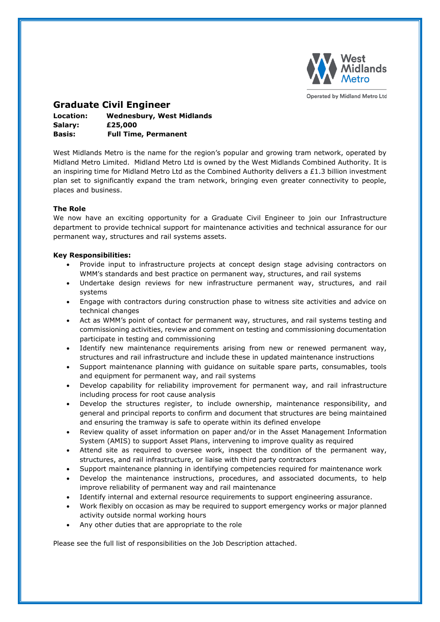

**Operated by Midland Metro Ltd** 

# **Graduate Civil Engineer**

| Location: | <b>Wednesbury, West Midlands</b> |
|-----------|----------------------------------|
| Salary:   | £25,000                          |
| Basis:    | <b>Full Time, Permanent</b>      |

West Midlands Metro is the name for the region's popular and growing tram network, operated by Midland Metro Limited. Midland Metro Ltd is owned by the West Midlands Combined Authority. It is an inspiring time for Midland Metro Ltd as the Combined Authority delivers a £1.3 billion investment plan set to significantly expand the tram network, bringing even greater connectivity to people, places and business.

## **The Role**

We now have an exciting opportunity for a Graduate Civil Engineer to join our Infrastructure department to provide technical support for maintenance activities and technical assurance for our permanent way, structures and rail systems assets.

## **Key Responsibilities:**

- Provide input to infrastructure projects at concept design stage advising contractors on WMM's standards and best practice on permanent way, structures, and rail systems
- Undertake design reviews for new infrastructure permanent way, structures, and rail systems
- Engage with contractors during construction phase to witness site activities and advice on technical changes
- Act as WMM's point of contact for permanent way, structures, and rail systems testing and commissioning activities, review and comment on testing and commissioning documentation participate in testing and commissioning
- Identify new maintenance requirements arising from new or renewed permanent way, structures and rail infrastructure and include these in updated maintenance instructions
- Support maintenance planning with guidance on suitable spare parts, consumables, tools and equipment for permanent way, and rail systems
- Develop capability for reliability improvement for permanent way, and rail infrastructure including process for root cause analysis
- Develop the structures register, to include ownership, maintenance responsibility, and general and principal reports to confirm and document that structures are being maintained and ensuring the tramway is safe to operate within its defined envelope
- Review quality of asset information on paper and/or in the Asset Management Information System (AMIS) to support Asset Plans, intervening to improve quality as required
- Attend site as required to oversee work, inspect the condition of the permanent way, structures, and rail infrastructure, or liaise with third party contractors
- Support maintenance planning in identifying competencies required for maintenance work
- Develop the maintenance instructions, procedures, and associated documents, to help improve reliability of permanent way and rail maintenance
- Identify internal and external resource requirements to support engineering assurance.
- Work flexibly on occasion as may be required to support emergency works or major planned activity outside normal working hours
- Any other duties that are appropriate to the role

Please see the full list of responsibilities on the Job Description attached.